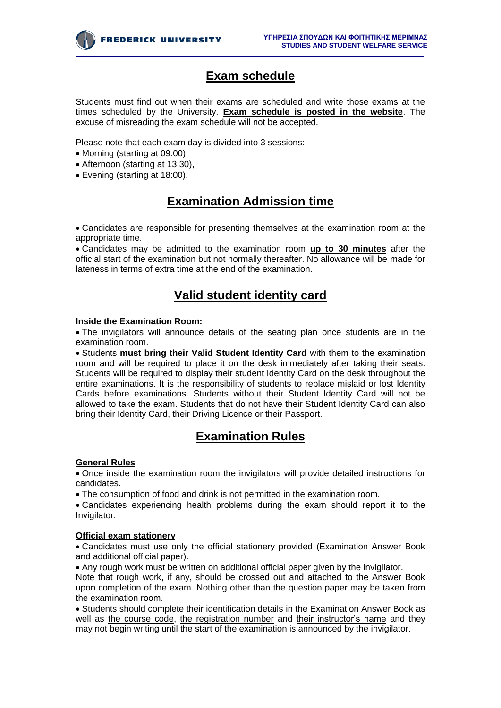

## **Exam schedule**

Students must find out when their exams are scheduled and write those exams at the times scheduled by the University. **Exam schedule is posted in the website**. The excuse of misreading the exam schedule will not be accepted.

Please note that each exam day is divided into 3 sessions:

- Morning (starting at 09:00),
- Afternoon (starting at 13:30),
- Evening (starting at 18:00).

# **Examination Admission time**

Candidates are responsible for presenting themselves at the examination room at the appropriate time.

Candidates may be admitted to the examination room **up to 30 minutes** after the official start of the examination but not normally thereafter. No allowance will be made for lateness in terms of extra time at the end of the examination.

### **Valid student identity card**

#### **Inside the Examination Room:**

The invigilators will announce details of the seating plan once students are in the examination room.

Students **must bring their Valid Student Identity Card** with them to the examination room and will be required to place it on the desk immediately after taking their seats. Students will be required to display their student Identity Card on the desk throughout the entire examinations. It is the responsibility of students to replace mislaid or lost Identity Cards before examinations. Students without their Student Identity Card will not be allowed to take the exam. Students that do not have their Student Identity Card can also bring their Identity Card, their Driving Licence or their Passport.

### **Examination Rules**

#### **General Rules**

Once inside the examination room the invigilators will provide detailed instructions for candidates.

The consumption of food and drink is not permitted in the examination room.

Candidates experiencing health problems during the exam should report it to the Invigilator.

#### **Official exam stationery**

Candidates must use only the official stationery provided (Examination Answer Book and additional official paper).

Any rough work must be written on additional official paper given by the invigilator.

Note that rough work, if any, should be crossed out and attached to the Answer Book upon completion of the exam. Nothing other than the question paper may be taken from the examination room.

Students should complete their identification details in the Examination Answer Book as well as the course code, the registration number and their instructor's name and they may not begin writing until the start of the examination is announced by the invigilator.